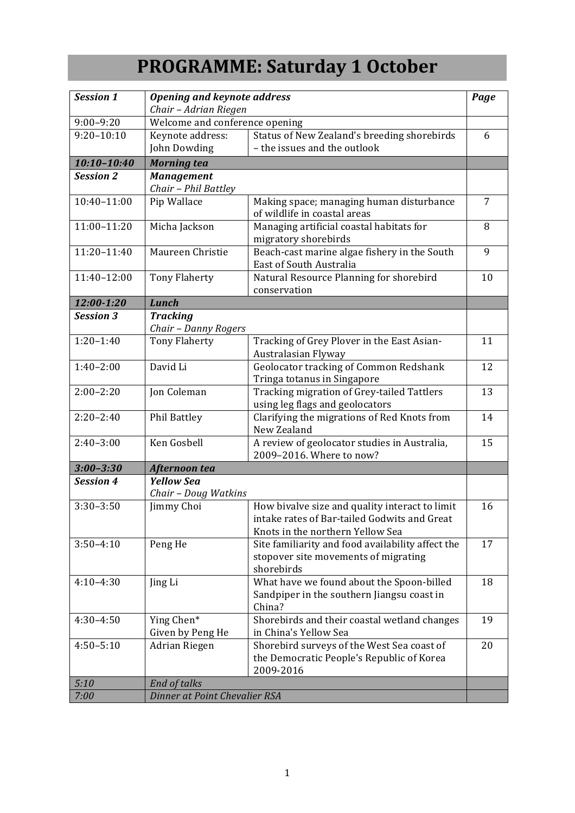## **PROGRAMME: Saturday 1 October**

| <b>Session 1</b> | <b>Opening and keynote address</b>        |                                                                                                                                    | Page |
|------------------|-------------------------------------------|------------------------------------------------------------------------------------------------------------------------------------|------|
|                  | Chair - Adrian Riegen                     |                                                                                                                                    |      |
| $9:00 - 9:20$    |                                           | Welcome and conference opening                                                                                                     |      |
| $9:20 - 10:10$   | Keynote address:                          | Status of New Zealand's breeding shorebirds                                                                                        | 6    |
|                  | John Dowding                              | - the issues and the outlook                                                                                                       |      |
| $10:10 - 10:40$  | <b>Morning tea</b>                        |                                                                                                                                    |      |
| <b>Session 2</b> | <b>Management</b><br>Chair - Phil Battley |                                                                                                                                    |      |
| 10:40-11:00      | Pip Wallace                               | Making space; managing human disturbance<br>of wildlife in coastal areas                                                           | 7    |
| $11:00 - 11:20$  | Micha Jackson                             | Managing artificial coastal habitats for<br>migratory shorebirds                                                                   | 8    |
| 11:20-11:40      | Maureen Christie                          | Beach-cast marine algae fishery in the South<br>East of South Australia                                                            | 9    |
| 11:40-12:00      | <b>Tony Flaherty</b>                      | Natural Resource Planning for shorebird                                                                                            | 10   |
|                  |                                           | conservation                                                                                                                       |      |
| 12:00-1:20       | <b>Lunch</b>                              |                                                                                                                                    |      |
| <b>Session 3</b> | <b>Tracking</b>                           |                                                                                                                                    |      |
|                  | Chair - Danny Rogers                      |                                                                                                                                    |      |
| $1:20-1:40$      | <b>Tony Flaherty</b>                      | Tracking of Grey Plover in the East Asian-<br>Australasian Flyway                                                                  | 11   |
| $1:40-2:00$      | David Li                                  | Geolocator tracking of Common Redshank<br>Tringa totanus in Singapore                                                              | 12   |
| $2:00-2:20$      | Jon Coleman                               | Tracking migration of Grey-tailed Tattlers<br>using leg flags and geolocators                                                      | 13   |
| $2:20-2:40$      | Phil Battley                              | Clarifying the migrations of Red Knots from<br>New Zealand                                                                         | 14   |
| $2:40-3:00$      | Ken Gosbell                               | A review of geolocator studies in Australia,<br>2009-2016. Where to now?                                                           | 15   |
| $3:00 - 3:30$    | Afternoon tea                             |                                                                                                                                    |      |
| <b>Session 4</b> | <b>Yellow Sea</b>                         |                                                                                                                                    |      |
|                  | Chair - Doug Watkins                      |                                                                                                                                    |      |
| $3:30-3:50$      | Jimmy Choi                                | How bivalve size and quality interact to limit<br>intake rates of Bar-tailed Godwits and Great<br>Knots in the northern Yellow Sea | 16   |
| $3:50 - 4:10$    | Peng He                                   | Site familiarity and food availability affect the<br>stopover site movements of migrating<br>shorebirds                            | 17   |
| $4:10-4:30$      | Jing Li                                   | What have we found about the Spoon-billed<br>Sandpiper in the southern Jiangsu coast in<br>China?                                  | 18   |
| $4:30-4:50$      | Ying Chen*<br>Given by Peng He            | Shorebirds and their coastal wetland changes<br>in China's Yellow Sea                                                              | 19   |
| $4:50 - 5:10$    | Adrian Riegen                             | Shorebird surveys of the West Sea coast of<br>the Democratic People's Republic of Korea<br>2009-2016                               | 20   |
| 5:10             | <b>End of talks</b>                       |                                                                                                                                    |      |
| 7:00             | Dinner at Point Chevalier RSA             |                                                                                                                                    |      |